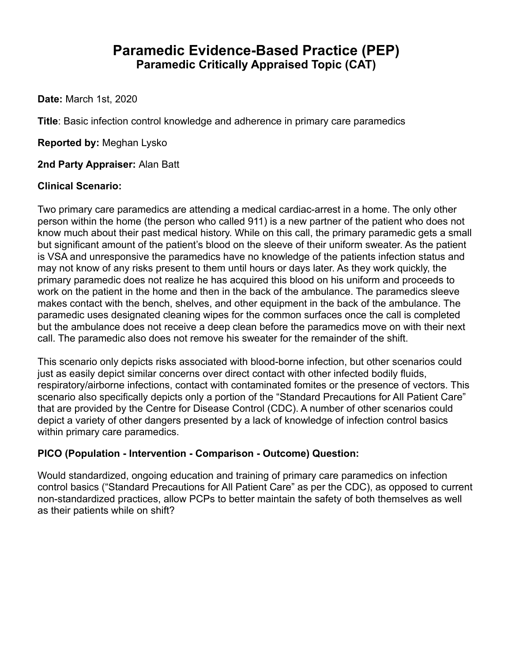# **Paramedic Evidence-Based Practice (PEP) Paramedic Critically Appraised Topic (CAT)**

**Date:** March 1st, 2020

**Title**: Basic infection control knowledge and adherence in primary care paramedics

**Reported by:** Meghan Lysko

**2nd Party Appraiser:** Alan Batt

#### **Clinical Scenario:**

Two primary care paramedics are attending a medical cardiac-arrest in a home. The only other person within the home (the person who called 911) is a new partner of the patient who does not know much about their past medical history. While on this call, the primary paramedic gets a small but significant amount of the patient's blood on the sleeve of their uniform sweater. As the patient is VSA and unresponsive the paramedics have no knowledge of the patients infection status and may not know of any risks present to them until hours or days later. As they work quickly, the primary paramedic does not realize he has acquired this blood on his uniform and proceeds to work on the patient in the home and then in the back of the ambulance. The paramedics sleeve makes contact with the bench, shelves, and other equipment in the back of the ambulance. The paramedic uses designated cleaning wipes for the common surfaces once the call is completed but the ambulance does not receive a deep clean before the paramedics move on with their next call. The paramedic also does not remove his sweater for the remainder of the shift.

This scenario only depicts risks associated with blood-borne infection, but other scenarios could just as easily depict similar concerns over direct contact with other infected bodily fluids, respiratory/airborne infections, contact with contaminated fomites or the presence of vectors. This scenario also specifically depicts only a portion of the "Standard Precautions for All Patient Care" that are provided by the Centre for Disease Control (CDC). A number of other scenarios could depict a variety of other dangers presented by a lack of knowledge of infection control basics within primary care paramedics.

## **PICO (Population - Intervention - Comparison - Outcome) Question:**

Would standardized, ongoing education and training of primary care paramedics on infection control basics ("Standard Precautions for All Patient Care" as per the CDC), as opposed to current non-standardized practices, allow PCPs to better maintain the safety of both themselves as well as their patients while on shift?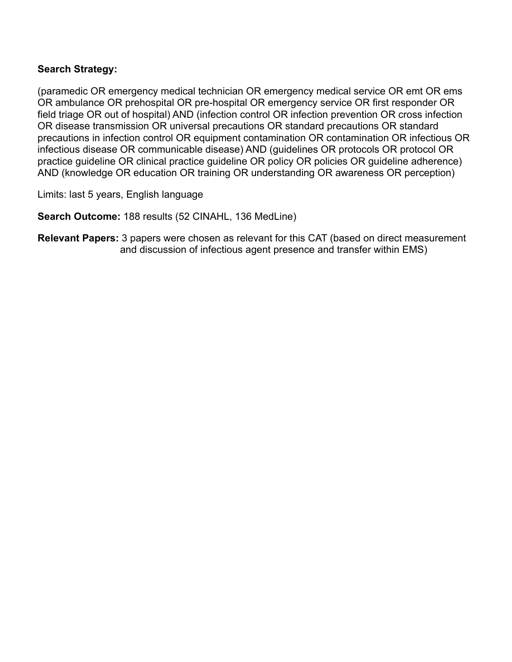#### **Search Strategy:**

(paramedic OR emergency medical technician OR emergency medical service OR emt OR ems OR ambulance OR prehospital OR pre-hospital OR emergency service OR first responder OR field triage OR out of hospital) AND (infection control OR infection prevention OR cross infection OR disease transmission OR universal precautions OR standard precautions OR standard precautions in infection control OR equipment contamination OR contamination OR infectious OR infectious disease OR communicable disease) AND (guidelines OR protocols OR protocol OR practice guideline OR clinical practice guideline OR policy OR policies OR guideline adherence) AND (knowledge OR education OR training OR understanding OR awareness OR perception)

Limits: last 5 years, English language

**Search Outcome:** 188 results (52 CINAHL, 136 MedLine)

**Relevant Papers:** 3 papers were chosen as relevant for this CAT (based on direct measurement and discussion of infectious agent presence and transfer within EMS)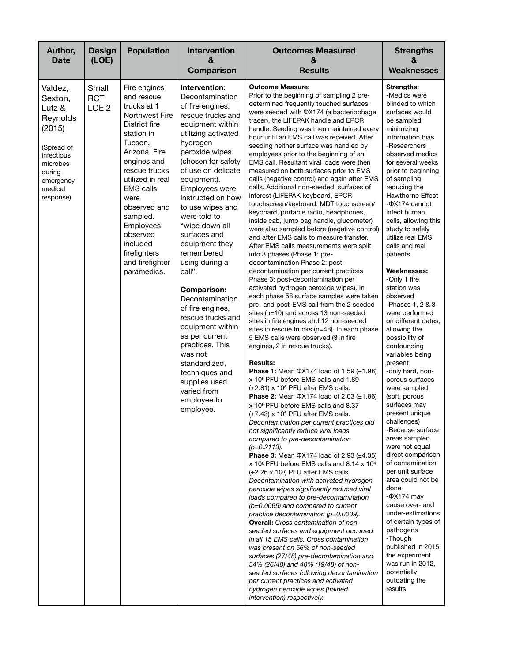| Author,<br><b>Date</b>                                                                                                                    | <b>Design</b><br>(LOE)                  | <b>Population</b>                                                                                                                                                                                                                                                                                                         | <b>Intervention</b><br>&<br>Comparison                                                                                                                                                                                                                                                                                                                                                                                                                                                                                                                                                                                                      | <b>Outcomes Measured</b><br>&<br><b>Results</b>                                                                                                                                                                                                                                                                                                                                                                                                                                                                                                                                                                                                                                                                                                                                                                                                                                                                                                                                                                                                                                                                                                                                                                                                                                                                                                                                                                                                                                                                                                                                                                                                                                                                                                                                                                                                                                                                                                                                                                                                                                                                                                                                                                                                                                                                                                                                                                                                                                                                                                                                                                                                                                                                         | <b>Strengths</b><br>&<br><b>Weaknesses</b>                                                                                                                                                                                                                                                                                                                                                                                                                                                                                                                                                                                                                                                                                                                                                                                                                                                                                                                                                                                                                                                     |
|-------------------------------------------------------------------------------------------------------------------------------------------|-----------------------------------------|---------------------------------------------------------------------------------------------------------------------------------------------------------------------------------------------------------------------------------------------------------------------------------------------------------------------------|---------------------------------------------------------------------------------------------------------------------------------------------------------------------------------------------------------------------------------------------------------------------------------------------------------------------------------------------------------------------------------------------------------------------------------------------------------------------------------------------------------------------------------------------------------------------------------------------------------------------------------------------|-------------------------------------------------------------------------------------------------------------------------------------------------------------------------------------------------------------------------------------------------------------------------------------------------------------------------------------------------------------------------------------------------------------------------------------------------------------------------------------------------------------------------------------------------------------------------------------------------------------------------------------------------------------------------------------------------------------------------------------------------------------------------------------------------------------------------------------------------------------------------------------------------------------------------------------------------------------------------------------------------------------------------------------------------------------------------------------------------------------------------------------------------------------------------------------------------------------------------------------------------------------------------------------------------------------------------------------------------------------------------------------------------------------------------------------------------------------------------------------------------------------------------------------------------------------------------------------------------------------------------------------------------------------------------------------------------------------------------------------------------------------------------------------------------------------------------------------------------------------------------------------------------------------------------------------------------------------------------------------------------------------------------------------------------------------------------------------------------------------------------------------------------------------------------------------------------------------------------------------------------------------------------------------------------------------------------------------------------------------------------------------------------------------------------------------------------------------------------------------------------------------------------------------------------------------------------------------------------------------------------------------------------------------------------------------------------------------------------|------------------------------------------------------------------------------------------------------------------------------------------------------------------------------------------------------------------------------------------------------------------------------------------------------------------------------------------------------------------------------------------------------------------------------------------------------------------------------------------------------------------------------------------------------------------------------------------------------------------------------------------------------------------------------------------------------------------------------------------------------------------------------------------------------------------------------------------------------------------------------------------------------------------------------------------------------------------------------------------------------------------------------------------------------------------------------------------------|
| Valdez,<br>Sexton,<br>Lutz &<br>Reynolds<br>(2015)<br>(Spread of<br>infectious<br>microbes<br>during<br>emergency<br>medical<br>response) | Small<br><b>RCT</b><br>LOE <sub>2</sub> | Fire engines<br>and rescue<br>trucks at 1<br>Northwest Fire<br>District fire<br>station in<br>Tucson,<br>Arizona, Fire<br>engines and<br>rescue trucks<br>utilized in real<br><b>EMS</b> calls<br>were<br>observed and<br>sampled.<br>Employees<br>observed<br>included<br>firefighters<br>and firefighter<br>paramedics. | Intervention:<br>Decontamination<br>of fire engines,<br>rescue trucks and<br>equipment within<br>utilizing activated<br>hydrogen<br>peroxide wipes<br>(chosen for safety<br>of use on delicate<br>equipment).<br>Employees were<br>instructed on how<br>to use wipes and<br>were told to<br>"wipe down all<br>surfaces and<br>equipment they<br>remembered<br>using during a<br>call".<br><b>Comparison:</b><br>Decontamination<br>of fire engines,<br>rescue trucks and<br>equipment within<br>as per current<br>practices. This<br>was not<br>standardized,<br>techniques and<br>supplies used<br>varied from<br>employee to<br>employee. | <b>Outcome Measure:</b><br>Prior to the beginning of sampling 2 pre-<br>determined frequently touched surfaces<br>were seeded with ΦX174 (a bacteriophage<br>tracer), the LIFEPAK handle and EPCR<br>handle. Seeding was then maintained every<br>hour until an EMS call was received. After<br>seeding neither surface was handled by<br>employees prior to the beginning of an<br>EMS call. Resultant viral loads were then<br>measured on both surfaces prior to EMS<br>calls (negative control) and again after EMS<br>calls. Additional non-seeded, surfaces of<br>interest (LIFEPAK keyboard, EPCR<br>touchscreen/keyboard, MDT touchscreen/<br>keyboard, portable radio, headphones,<br>inside cab, jump bag handle, glucometer)<br>were also sampled before (negative control)<br>and after EMS calls to measure transfer.<br>After EMS calls measurements were split<br>into 3 phases (Phase 1: pre-<br>decontamination Phase 2: post-<br>decontamination per current practices<br>Phase 3: post-decontamination per<br>activated hydrogen peroxide wipes). In<br>each phase 58 surface samples were taken<br>pre- and post-EMS call from the 2 seeded<br>sites (n=10) and across 13 non-seeded<br>sites in fire engines and 12 non-seeded<br>sites in rescue trucks (n=48). In each phase<br>5 EMS calls were observed (3 in fire<br>engines, 2 in rescue trucks).<br><b>Results:</b><br><b>Phase 1:</b> Mean $\Phi$ X174 load of 1.59 ( $\pm$ 1.98)<br>x 10 <sup>6</sup> PFU before EMS calls and 1.89<br>$(\pm 2.81)$ x 10 <sup>5</sup> PFU after EMS calls.<br><b>Phase 2:</b> Mean $\Phi$ X174 load of 2.03 ( $\pm$ 1.86)<br>x 10 <sup>6</sup> PFU before EMS calls and 8.37<br>$(\pm 7.43)$ x 10 <sup>5</sup> PFU after EMS calls.<br>Decontamination per current practices did<br>not significantly reduce viral loads<br>compared to pre-decontamination<br>$(p=0.2113)$ .<br><b>Phase 3:</b> Mean $\Phi$ X174 load of 2.93 ( $\pm$ 4.35)<br>$x$ 10 <sup>6</sup> PFU before EMS calls and 8.14 $x$ 10 <sup>4</sup><br>$(\pm 2.26 \times 10^5)$ PFU after EMS calls.<br>Decontamination with activated hydrogen<br>peroxide wipes significantly reduced viral<br>loads compared to pre-decontamination<br>(p=0.0065) and compared to current<br>practice decontamination (p=0.0009).<br><b>Overall:</b> Cross contamination of non-<br>seeded surfaces and equipment occurred<br>in all 15 EMS calls. Cross contamination<br>was present on 56% of non-seeded<br>surfaces (27/48) pre-decontamination and<br>54% (26/48) and 40% (19/48) of non-<br>seeded surfaces following decontamination<br>per current practices and activated<br>hydrogen peroxide wipes (trained<br>intervention) respectively. | <b>Strengths:</b><br>-Medics were<br>blinded to which<br>surfaces would<br>be sampled<br>minimizing<br>information bias<br>-Researchers<br>observed medics<br>for several weeks<br>prior to beginning<br>of sampling<br>reducing the<br><b>Hawthorne Effect</b><br>-ФХ174 cannot<br>infect human<br>cells, allowing this<br>study to safely<br>utilize real EMS<br>calls and real<br>patients<br>Weaknesses:<br>-Only 1 fire<br>station was<br>observed<br>-Phases 1, 2 & 3<br>were performed<br>on different dates,<br>allowing the<br>possibility of<br>confounding<br>variables being<br>present<br>-only hard, non-<br>porous surfaces<br>were sampled<br>(soft, porous<br>surfaces may<br>present unique<br>challenges)<br>-Because surface<br>areas sampled<br>were not equal<br>direct comparison<br>of contamination<br>per unit surface<br>area could not be<br>done<br>$-\Phi$ X174 may<br>cause over- and<br>under-estimations<br>of certain types of<br>pathogens<br>-Though<br>published in 2015<br>the experiment<br>was run in 2012,<br>potentially<br>outdating the<br>results |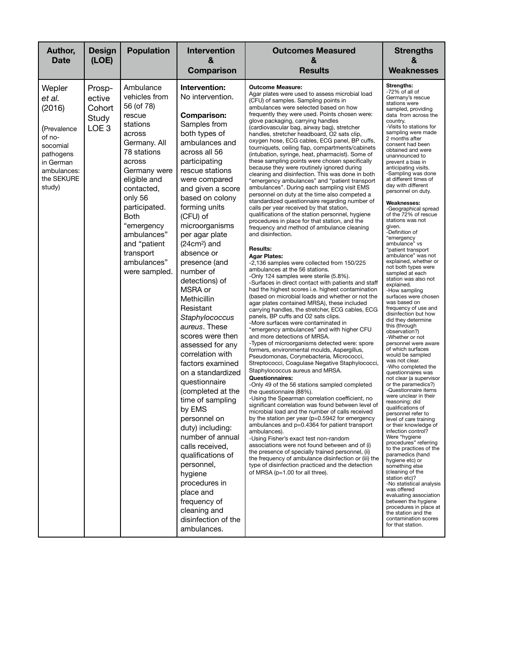| Author,<br><b>Date</b>                                                                                                           | <b>Design</b><br>(LOE)                                  | <b>Population</b>                                                                                                                                                                                                                                                                                    | <b>Intervention</b><br>&                                                                                                                                                                                                                                                                                                                                                                                                                                                                                                                                                                                                                                                                                                                                                                                                                                 | <b>Outcomes Measured</b><br>&                                                                                                                                                                                                                                                                                                                                                                                                                                                                                                                                                                                                                                                                                                                                                                                                                                                                                                                                                                                                                                                                                                                                                                                                                                                                                                                                                                                                                                                                                                                                                                                                                                                                                                                                                                                                                                                                                                                                                                                                                                                                                                                                                                                                                                                                                                                                                                                                                                                                                                                                                                                     | <b>Strengths</b><br>&                                                                                                                                                                                                                                                                                                                                                                                                                                                                                                                                                                                                                                                                                                                                                                                                                                                                                                                                                                                                                                                                                                                                                                                                                                                                                                                                                                                                                                                                                                                                                                                                         |
|----------------------------------------------------------------------------------------------------------------------------------|---------------------------------------------------------|------------------------------------------------------------------------------------------------------------------------------------------------------------------------------------------------------------------------------------------------------------------------------------------------------|----------------------------------------------------------------------------------------------------------------------------------------------------------------------------------------------------------------------------------------------------------------------------------------------------------------------------------------------------------------------------------------------------------------------------------------------------------------------------------------------------------------------------------------------------------------------------------------------------------------------------------------------------------------------------------------------------------------------------------------------------------------------------------------------------------------------------------------------------------|-------------------------------------------------------------------------------------------------------------------------------------------------------------------------------------------------------------------------------------------------------------------------------------------------------------------------------------------------------------------------------------------------------------------------------------------------------------------------------------------------------------------------------------------------------------------------------------------------------------------------------------------------------------------------------------------------------------------------------------------------------------------------------------------------------------------------------------------------------------------------------------------------------------------------------------------------------------------------------------------------------------------------------------------------------------------------------------------------------------------------------------------------------------------------------------------------------------------------------------------------------------------------------------------------------------------------------------------------------------------------------------------------------------------------------------------------------------------------------------------------------------------------------------------------------------------------------------------------------------------------------------------------------------------------------------------------------------------------------------------------------------------------------------------------------------------------------------------------------------------------------------------------------------------------------------------------------------------------------------------------------------------------------------------------------------------------------------------------------------------------------------------------------------------------------------------------------------------------------------------------------------------------------------------------------------------------------------------------------------------------------------------------------------------------------------------------------------------------------------------------------------------------------------------------------------------------------------------------------------------|-------------------------------------------------------------------------------------------------------------------------------------------------------------------------------------------------------------------------------------------------------------------------------------------------------------------------------------------------------------------------------------------------------------------------------------------------------------------------------------------------------------------------------------------------------------------------------------------------------------------------------------------------------------------------------------------------------------------------------------------------------------------------------------------------------------------------------------------------------------------------------------------------------------------------------------------------------------------------------------------------------------------------------------------------------------------------------------------------------------------------------------------------------------------------------------------------------------------------------------------------------------------------------------------------------------------------------------------------------------------------------------------------------------------------------------------------------------------------------------------------------------------------------------------------------------------------------------------------------------------------------|
|                                                                                                                                  |                                                         |                                                                                                                                                                                                                                                                                                      | Comparison                                                                                                                                                                                                                                                                                                                                                                                                                                                                                                                                                                                                                                                                                                                                                                                                                                               | <b>Results</b>                                                                                                                                                                                                                                                                                                                                                                                                                                                                                                                                                                                                                                                                                                                                                                                                                                                                                                                                                                                                                                                                                                                                                                                                                                                                                                                                                                                                                                                                                                                                                                                                                                                                                                                                                                                                                                                                                                                                                                                                                                                                                                                                                                                                                                                                                                                                                                                                                                                                                                                                                                                                    | <b>Weaknesses</b>                                                                                                                                                                                                                                                                                                                                                                                                                                                                                                                                                                                                                                                                                                                                                                                                                                                                                                                                                                                                                                                                                                                                                                                                                                                                                                                                                                                                                                                                                                                                                                                                             |
| Wepler<br>et al.<br>(2016)<br>(Prevalence<br>of no-<br>socomial<br>pathogens<br>in German<br>ambulances:<br>the SEKURE<br>study) | Prosp-<br>ective<br>Cohort<br>Study<br>LOE <sub>3</sub> | Ambulance<br>vehicles from<br>56 (of 78)<br>rescue<br>stations<br>across<br>Germany. All<br>78 stations<br>across<br>Germany were<br>eligible and<br>contacted,<br>only 56<br>participated.<br><b>Both</b><br>"emergency<br>ambulances"<br>and "patient<br>transport<br>ambulances"<br>were sampled. | Intervention:<br>No intervention.<br><b>Comparison:</b><br>Samples from<br>both types of<br>ambulances and<br>across all 56<br>participating<br>rescue stations<br>were compared<br>and given a score<br>based on colony<br>forming units<br>(CFU) of<br>microorganisms<br>per agar plate<br>$(24cm2)$ and<br>absence or<br>presence (and<br>number of<br>detections) of<br>MSRA or<br>Methicillin<br>Resistant<br>Staphylococcus<br>aureus. These<br>scores were then<br>assessed for any<br>correlation with<br>factors examined<br>on a standardized<br>questionnaire<br>(completed at the<br>time of sampling<br>by EMS<br>personnel on<br>duty) including:<br>number of annual<br>calls received,<br>qualifications of<br>personnel,<br>hygiene<br>procedures in<br>place and<br>frequency of<br>cleaning and<br>disinfection of the<br>ambulances. | <b>Outcome Measure:</b><br>Agar plates were used to assess microbial load<br>(CFU) of samples. Sampling points in<br>ambulances were selected based on how<br>frequently they were used. Points chosen were:<br>glove packaging, carrying handles<br>(cardiovascular bag, airway bag), stretcher<br>handles, stretcher headboard, O2 sats clip,<br>oxygen hose, ECG cables, ECG panel, BP cuffs,<br>tourniquets, ceiling flap, compartments/cabinets<br>(intubation, syringe, heat, pharmacist). Some of<br>these sampling points were chosen specifically<br>because they were routinely ignored during<br>cleaning and disinfection. This was done in both<br>"emergency ambulances" and "patient transport<br>ambulances". During each sampling visit EMS<br>personnel on duty at the time also competed a<br>standardized questionnaire regarding number of<br>calls per year received by that station,<br>qualifications of the station personnel, hygiene<br>procedures in place for that station, and the<br>frequency and method of ambulance cleaning<br>and disinfection.<br><b>Results:</b><br><b>Agar Plates:</b><br>-2,136 samples were collected from 150/225<br>ambulances at the 56 stations.<br>-Only 124 samples were sterile (5.8%).<br>-Surfaces in direct contact with patients and staff<br>had the highest scores i.e. highest contamination<br>(based on microbial loads and whether or not the<br>agar plates contained MRSA), these included<br>carrying handles, the stretcher, ECG cables, ECG<br>panels, BP cuffs and O2 sats clips.<br>-More surfaces were contaminated in<br>"emergency ambulances" and with higher CFU<br>and more detections of MRSA.<br>-Types of microorganisms detected were: spore<br>formers, environmental moulds, Aspergillus,<br>Pseudomonas, Corynebacteria, Micrococci,<br>Streptococci, Coagulase Negative Staphylococci,<br>Staphylococcus aureus and MRSA.<br><b>Questionnaires:</b><br>-Only 49 of the 56 stations sampled completed<br>the questionnaire (88%).<br>-Using the Spearman correlation coefficient, no<br>significant correlation was found between level of<br>microbial load and the number of calls received<br>by the station per year ( $p=0.5942$ for emergency<br>ambulances and p=0.4364 for patient transport<br>ambulances).<br>-Using Fisher's exact test non-random<br>associations were not found between and of (i)<br>the presence of specially trained personnel, (ii)<br>the frequency of ambulance disinfection or (iii) the<br>type of disinfection practiced and the detection<br>of MRSA (p=1.00 for all three). | Strengths:<br>-72% of all of<br>Germany's rescue<br>stations were<br>sampled, providing<br>data from across the<br>country.<br>-Visits to stations for<br>sampling were made<br>2 months after<br>consent had been<br>obtained and were<br>unannounced to<br>prevent a bias in<br>anticipating visits.<br>-Sampling was done<br>at different times of<br>day with different<br>personnel on duty.<br>Weaknesses:<br>-Geographical spread<br>of the 72% of rescue<br>stations was not<br>given.<br>-Definition of<br>"emergency<br>ambulance" vs<br>"patient transport<br>ambulance" was not<br>explained, whether or<br>not both types were<br>sampled at each<br>station was also not<br>explained.<br>-How sampling<br>surfaces were chosen<br>was based on<br>frequency of use and<br>disinfection but how<br>did they determine<br>this (through<br>observation?)<br>-Whether or not<br>personnel were aware<br>of which surfaces<br>would be sampled<br>was not clear.<br>-Who completed the<br>questionnaires was<br>not clear (a supervisor<br>or the paramedics?)<br>-Questionnaire items<br>were unclear in their<br>reasoning: did<br>qualifications of<br>personnel refer to<br>level of care training<br>or their knowledge of<br>infection control?<br>Were "hygiene<br>procedures" referring<br>to the practices of the<br>paramedics (hand<br>hygiene etc) or<br>something else<br>(cleaning of the<br>station etc)?<br>-No statistical analysis<br>was offered<br>evaluating association<br>between the hygiene<br>procedures in place at<br>the station and the<br>contamination scores<br>for that station. |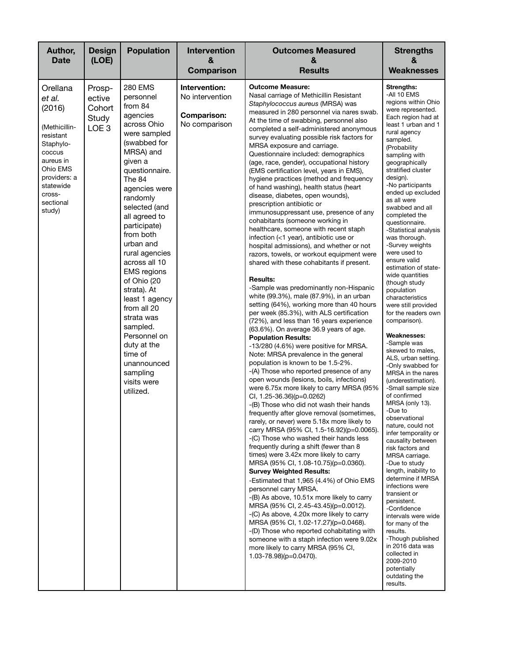| Author,<br><b>Date</b>                                                                                                                                                   | <b>Design</b><br>(LOE)                                  | <b>Population</b>                                                                                                                                                                                                                                                                                                                                                                                                                                                                                                 | Intervention<br>&<br>Comparison                                         | <b>Outcomes Measured</b><br>&<br><b>Results</b>                                                                                                                                                                                                                                                                                                                                                                                                                                                                                                                                                                                                                                                                                                                                                                                                                                                                                                                                                                                                                                                                                                                                                                                                                                                                                                                                                                                                                                                                                                                                                                                                                                                                                                                                                                                                                                                                                                                                                                                                                                                                                                                                                                                                                                                                                                   | <b>Strengths</b><br>&<br><b>Weaknesses</b>                                                                                                                                                                                                                                                                                                                                                                                                                                                                                                                                                                                                                                                                                                                                                                                                                                                                                                                                                                                                                                                                                                                                                                                                                    |
|--------------------------------------------------------------------------------------------------------------------------------------------------------------------------|---------------------------------------------------------|-------------------------------------------------------------------------------------------------------------------------------------------------------------------------------------------------------------------------------------------------------------------------------------------------------------------------------------------------------------------------------------------------------------------------------------------------------------------------------------------------------------------|-------------------------------------------------------------------------|---------------------------------------------------------------------------------------------------------------------------------------------------------------------------------------------------------------------------------------------------------------------------------------------------------------------------------------------------------------------------------------------------------------------------------------------------------------------------------------------------------------------------------------------------------------------------------------------------------------------------------------------------------------------------------------------------------------------------------------------------------------------------------------------------------------------------------------------------------------------------------------------------------------------------------------------------------------------------------------------------------------------------------------------------------------------------------------------------------------------------------------------------------------------------------------------------------------------------------------------------------------------------------------------------------------------------------------------------------------------------------------------------------------------------------------------------------------------------------------------------------------------------------------------------------------------------------------------------------------------------------------------------------------------------------------------------------------------------------------------------------------------------------------------------------------------------------------------------------------------------------------------------------------------------------------------------------------------------------------------------------------------------------------------------------------------------------------------------------------------------------------------------------------------------------------------------------------------------------------------------------------------------------------------------------------------------------------------------|---------------------------------------------------------------------------------------------------------------------------------------------------------------------------------------------------------------------------------------------------------------------------------------------------------------------------------------------------------------------------------------------------------------------------------------------------------------------------------------------------------------------------------------------------------------------------------------------------------------------------------------------------------------------------------------------------------------------------------------------------------------------------------------------------------------------------------------------------------------------------------------------------------------------------------------------------------------------------------------------------------------------------------------------------------------------------------------------------------------------------------------------------------------------------------------------------------------------------------------------------------------|
| Orellana<br>et al.<br>(2016)<br>(Methicillin-<br>resistant<br>Staphylo-<br>coccus<br>aureus in<br>Ohio EMS<br>providers: a<br>statewide<br>cross-<br>sectional<br>study) | Prosp-<br>ective<br>Cohort<br>Study<br>LOE <sub>3</sub> | <b>280 EMS</b><br>personnel<br>from 84<br>agencies<br>across Ohio<br>were sampled<br>(swabbed for<br>MRSA) and<br>given a<br>questionnaire.<br>The 84<br>agencies were<br>randomly<br>selected (and<br>all agreed to<br>participate)<br>from both<br>urban and<br>rural agencies<br>across all 10<br><b>EMS</b> regions<br>of Ohio (20<br>strata). At<br>least 1 agency<br>from all 20<br>strata was<br>sampled.<br>Personnel on<br>duty at the<br>time of<br>unannounced<br>sampling<br>visits were<br>utilized. | Intervention:<br>No intervention<br><b>Comparison:</b><br>No comparison | <b>Outcome Measure:</b><br>Nasal carriage of Methicillin Resistant<br>Staphylococcus aureus (MRSA) was<br>measured in 280 personnel via nares swab.<br>At the time of swabbing, personnel also<br>completed a self-administered anonymous<br>survey evaluating possible risk factors for<br>MRSA exposure and carriage.<br>Questionnaire included: demographics<br>(age, race, gender), occupational history<br>(EMS certification level, years in EMS),<br>hygiene practices (method and frequency<br>of hand washing), health status (heart<br>disease, diabetes, open wounds),<br>prescription antibiotic or<br>immunosuppressant use, presence of any<br>cohabitants (someone working in<br>healthcare, someone with recent staph<br>infection (<1 year), antibiotic use or<br>hospital admissions), and whether or not<br>razors, towels, or workout equipment were<br>shared with these cohabitants if present.<br><b>Results:</b><br>-Sample was predominantly non-Hispanic<br>white (99.3%), male (87.9%), in an urban<br>setting (64%), working more than 40 hours<br>per week (85.3%), with ALS certification<br>(72%), and less than 16 years experience<br>(63.6%). On average 36.9 years of age.<br><b>Population Results:</b><br>-13/280 (4.6%) were positive for MRSA.<br>Note: MRSA prevalence in the general<br>population is known to be 1.5-2%.<br>-(A) Those who reported presence of any<br>open wounds (lesions, boils, infections)<br>were 6.75x more likely to carry MRSA (95%<br>CI, 1.25-36.36)(p=0.0262)<br>-(B) Those who did not wash their hands<br>frequently after glove removal (sometimes,<br>rarely, or never) were 5.18x more likely to<br>carry MRSA (95% CI, 1.5-16.92)(p=0.0065).<br>-(C) Those who washed their hands less<br>frequently during a shift (fewer than 8<br>times) were 3.42x more likely to carry<br>MRSA (95% CI, 1.08-10.75)(p=0.0360).<br><b>Survey Weighted Results:</b><br>-Estimated that 1,965 (4.4%) of Ohio EMS<br>personnel carry MRSA.<br>-(B) As above, 10.51x more likely to carry<br>MRSA (95% CI, 2.45-43.45)(p=0.0012).<br>-(C) As above, 4.20x more likely to carry<br>MRSA (95% CI, 1.02-17.27)(p=0.0468).<br>-(D) Those who reported cohabitating with<br>someone with a staph infection were 9.02x<br>more likely to carry MRSA (95% CI,<br>$1.03 - 78.98$ )(p=0.0470). | Strengths:<br>-All 10 EMS<br>regions within Ohio<br>were represented.<br>Each region had at<br>least 1 urban and 1<br>rural agency<br>sampled.<br>(Probability<br>sampling with<br>geographically<br>stratified cluster<br>design).<br>-No participants<br>ended up excluded<br>as all were<br>swabbed and all<br>completed the<br>questionnaire.<br>-Statistical analysis<br>was thorough.<br>-Survey weights<br>were used to<br>ensure valid<br>estimation of state-<br>wide quantities<br>(though study<br>population<br>characteristics<br>were still provided<br>for the readers own<br>comparison).<br><b>Weaknesses:</b><br>-Sample was<br>skewed to males,<br>ALS, urban setting.<br>-Only swabbed for<br>MRSA in the nares<br>(underestimation).<br>-Small sample size<br>of confirmed<br>MRSA (only 13).<br>-Due to<br>observational<br>nature, could not<br>infer temporality or<br>causality between<br>risk factors and<br>MRSA carriage.<br>-Due to study<br>length, inability to<br>determine if MRSA<br>infections were<br>transient or<br>persistent.<br>-Confidence<br>intervals were wide<br>for many of the<br>results.<br>-Though published<br>in 2016 data was<br>collected in<br>2009-2010<br>potentially<br>outdating the<br>results. |